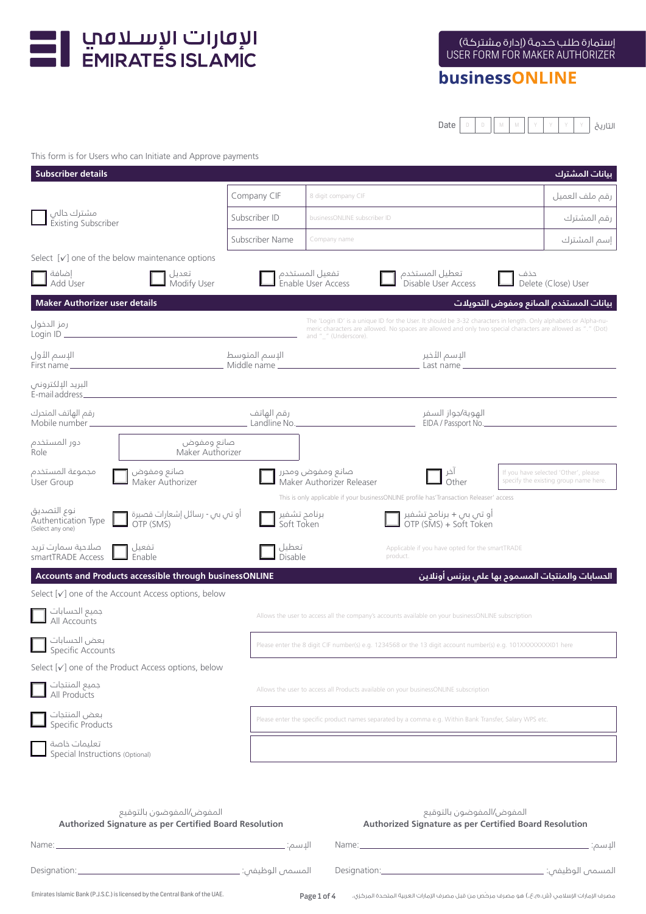

## businessONLINE

Date  $\begin{bmatrix} 0 & 0 & 0 \end{bmatrix}$  M  $\begin{bmatrix} 0 & 0 & 0 \end{bmatrix}$  M  $\begin{bmatrix} 0 & 0 & 0 \end{bmatrix}$  Y  $\begin{bmatrix} 0 & 0 & 0 \end{bmatrix}$  Y  $\begin{bmatrix} 0 & 0 & 0 \end{bmatrix}$ 

#### This form is for Users who can Initiate and Approve payments

| <b>Subscriber details</b>                              |                                                                                    |                            |                                                                                                                                          |                                                       | بيانات المشترك                                                                                                                                                                                                                  |  |
|--------------------------------------------------------|------------------------------------------------------------------------------------|----------------------------|------------------------------------------------------------------------------------------------------------------------------------------|-------------------------------------------------------|---------------------------------------------------------------------------------------------------------------------------------------------------------------------------------------------------------------------------------|--|
|                                                        |                                                                                    | Company CIF                | 8 digit company CIF                                                                                                                      |                                                       | رقم ملف العميل                                                                                                                                                                                                                  |  |
| مشترك حالي<br>Existing Subscriber                      |                                                                                    | Subscriber ID              | businessONLINE subscriber ID                                                                                                             |                                                       | رقم المشترك                                                                                                                                                                                                                     |  |
|                                                        |                                                                                    | Subscriber Name            | Company name                                                                                                                             |                                                       | إسم المشترك                                                                                                                                                                                                                     |  |
|                                                        | Select $\lceil v \rceil$ one of the below maintenance options                      |                            |                                                                                                                                          |                                                       |                                                                                                                                                                                                                                 |  |
| إضافة<br>Add User                                      | تعدیل<br>Modify User                                                               |                            | ـ تفعيل المستخدم<br>Enable User Access ـ                                                                                                 | تعطيل المستخدم<br>Disable User Access                 | حذف<br>Delete (Close) User                                                                                                                                                                                                      |  |
| <b>Maker Authorizer user details</b>                   |                                                                                    |                            |                                                                                                                                          |                                                       | بيانات المستخدم الصانع ومفوض التحويلات                                                                                                                                                                                          |  |
| رمز الدخول                                             |                                                                                    |                            | and "_" (Underscore).                                                                                                                    |                                                       | The 'Login ID' is a unique ID for the User. It should be 3-32 characters in length. Only alphabets or Alpha-nu-<br>meric characters are allowed. No spaces are allowed and only two special characters are allowed as "." (Dot) |  |
| الإسم الأول<br>First name $\equiv$                     |                                                                                    |                            |                                                                                                                                          |                                                       |                                                                                                                                                                                                                                 |  |
| البريد الإلكترونص<br>$E$ -mail address $\equiv$        |                                                                                    |                            |                                                                                                                                          |                                                       |                                                                                                                                                                                                                                 |  |
| رقم الهاتف المتحرك<br>Mobile number _________          |                                                                                    | رقم الهاتف<br>Landline No. |                                                                                                                                          | الهوية/جواز السفر<br>EIDA / Passport No.              |                                                                                                                                                                                                                                 |  |
| دور المستخدم<br>Role                                   | صانع ومفوض<br>Maker Authorizer                                                     |                            |                                                                                                                                          |                                                       |                                                                                                                                                                                                                                 |  |
| مجموعة المستخدم<br>User Group                          | صانع ومفوض<br>Maker Authorizer                                                     |                            | صانع ومفوض ومحرر<br>Maker Authorizer Releaser<br>This is only applicable if your businessONLINE profile has'Transaction Releaser' access | اخر<br>Other O                                        | If you have selected 'Other', please<br>specify the existing group name here.                                                                                                                                                   |  |
| نوع التصديق<br>Authentication Type<br>(Select any one) | أو تبي ببي - رسائل إشعارات قصيرة<br>OTP (SMS)                                      | برنامج تشفیر<br>Soft Token |                                                                                                                                          | أو تبي ببي + برنامج تشفير [<br>OTP (SMS) + Soft Token |                                                                                                                                                                                                                                 |  |
| صلاحية سمارت تريد<br>smartTRADE Access                 | تفعيل<br>Enable                                                                    | تعطيل<br>Disable           | product.                                                                                                                                 | Applicable if you have opted for the smartTRADE       |                                                                                                                                                                                                                                 |  |
|                                                        | Accounts and Products accessible through businessONLINE                            |                            |                                                                                                                                          |                                                       | الحسابات والمنتجات المسموم بها على بيزنس أونلاين                                                                                                                                                                                |  |
|                                                        | Select $[\checkmark]$ one of the Account Access options, below                     |                            |                                                                                                                                          |                                                       |                                                                                                                                                                                                                                 |  |
| جميع الحسابات<br>All Accounts                          |                                                                                    |                            | Allows the user to access all the company's accounts available on your businessONLINE subscription                                       |                                                       |                                                                                                                                                                                                                                 |  |
| بعض الحسابات<br>Specific Accounts                      |                                                                                    |                            | Please enter the 8 digit CIF number(s) e.g. 1234568 or the 13 digit account number(s) e.g. 101XXXXXXXX01 here                            |                                                       |                                                                                                                                                                                                                                 |  |
|                                                        | Select [√] one of the Product Access options, below                                |                            |                                                                                                                                          |                                                       |                                                                                                                                                                                                                                 |  |
| جميع المنتجات<br>All Products                          |                                                                                    |                            | Allows the user to access all Products available on your businessONLINE subscription                                                     |                                                       |                                                                                                                                                                                                                                 |  |
| بعض المنتجات<br>Specific Products                      |                                                                                    |                            | Please enter the specific product names separated by a comma e.g. Within Bank Transfer, Salary WPS etc.                                  |                                                       |                                                                                                                                                                                                                                 |  |
| تعليمات خاصة<br>Special Instructions (Optional)        |                                                                                    |                            |                                                                                                                                          |                                                       |                                                                                                                                                                                                                                 |  |
| Name:                                                  | المفوض/المفوضون بالتوقيع<br>Authorized Signature as per Certified Board Resolution | الإسم:                     | Name:                                                                                                                                    | المفوض/المفوضون بالتوقيع                              | Authorized Signature as per Certified Board Resolution<br>الإسم:                                                                                                                                                                |  |

| Designation:                                                                 |  | المسمى الوظيفي: ـ |
|------------------------------------------------------------------------------|--|-------------------|
| Emirates Islamic Bank (P.J.S.C.) is licensed by the Central Bank of the UAE. |  |                   |

Page 1 of 4 مصرف الإمارات الإسلامي (ش.م.ع.) هو مصرف مرخّص من قبل مصرف الإمارات العربية المتحدة المركزي.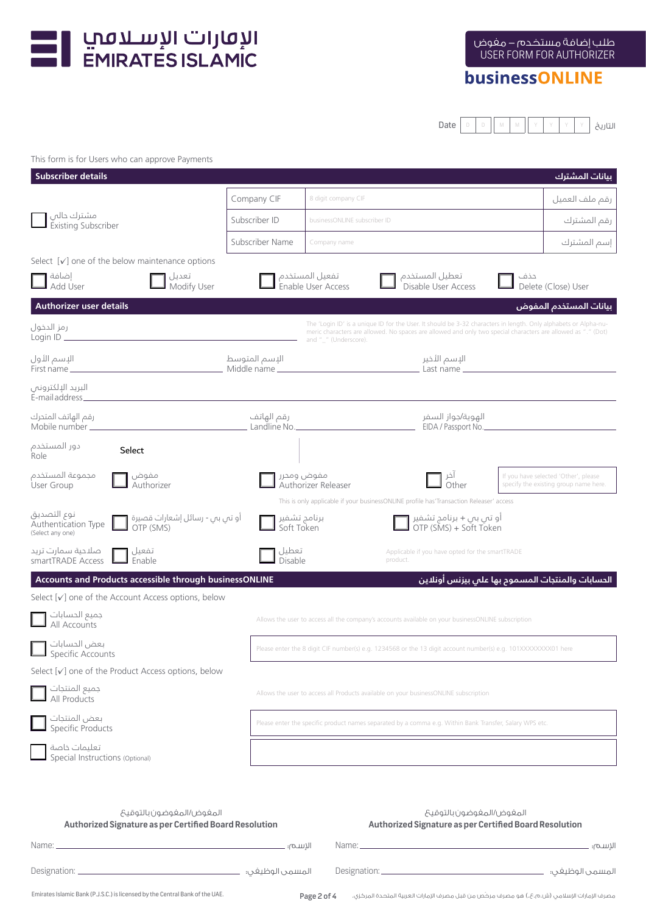

# businessONLINE

Date  $\begin{bmatrix} 0 & 0 & 0 \end{bmatrix}$  M  $\begin{bmatrix} 0 & 0 & 0 \end{bmatrix}$  M  $\begin{bmatrix} 0 & 0 & 0 \end{bmatrix}$  Y  $\begin{bmatrix} 0 & 0 & 0 \end{bmatrix}$ 

### This form is for Users who can approve Payments

| <b>Subscriber details</b>                                                                             |                            |                                                                                                                                                                                                                                                          |                                                                                    | بيانات المشترك                                                                |  |
|-------------------------------------------------------------------------------------------------------|----------------------------|----------------------------------------------------------------------------------------------------------------------------------------------------------------------------------------------------------------------------------------------------------|------------------------------------------------------------------------------------|-------------------------------------------------------------------------------|--|
|                                                                                                       | Company CIF                | 8 digit company CIF                                                                                                                                                                                                                                      |                                                                                    | رقم ملف العميل                                                                |  |
| مشترك حالبي<br><b>Existing Subscriber</b>                                                             | Subscriber ID              | businessONLINE subscriber ID                                                                                                                                                                                                                             |                                                                                    | رقم المشترك                                                                   |  |
|                                                                                                       | Subscriber Name            | Company name                                                                                                                                                                                                                                             |                                                                                    | إسم المشترك                                                                   |  |
| Select $[\checkmark]$ one of the below maintenance options                                            |                            |                                                                                                                                                                                                                                                          |                                                                                    |                                                                               |  |
| إضافة<br>تعدیل<br>Modify User<br>Add User                                                             |                            | تفعيل المستخدم<br>Enable User Access                                                                                                                                                                                                                     | تعطيل المستخدم<br>Disable User Access                                              | حذف<br>Delete (Close) User                                                    |  |
| <b>Authorizer user details</b>                                                                        |                            |                                                                                                                                                                                                                                                          |                                                                                    | بيانات المستخدم المفوض                                                        |  |
| رمز الدخول                                                                                            |                            | The 'Login ID' is a unique ID for the User. It should be 3-32 characters in length. Only alphabets or Alpha-nu-<br>meric characters are allowed. No spaces are allowed and only two special characters are allowed as "." (Dot)<br>and "_" (Underscore). |                                                                                    |                                                                               |  |
| الإسم الأول<br>First name __                                                                          |                            |                                                                                                                                                                                                                                                          |                                                                                    |                                                                               |  |
| البريد الإلكترونص<br>E-mail address_______________                                                    |                            |                                                                                                                                                                                                                                                          |                                                                                    |                                                                               |  |
| رقم الهاتف المتحرك<br>Mobile number _______________                                                   |                            |                                                                                                                                                                                                                                                          | الهوية/جواز السفر<br>EIDA / Passport No.                                           |                                                                               |  |
| دور المستخدم<br>Select<br>Role                                                                        |                            |                                                                                                                                                                                                                                                          |                                                                                    |                                                                               |  |
| مجموعة المستخدم<br>مفوض<br>Authorizer<br>User Group                                                   | مفوض ومحرر                 | Authorizer Releaser                                                                                                                                                                                                                                      |                                                                                    | If you have selected 'Other', please<br>specify the existing group name here. |  |
|                                                                                                       |                            | This is only applicable if your businessONLINE profile has'Transaction Releaser' access                                                                                                                                                                  |                                                                                    |                                                                               |  |
| نوع التصديق<br>أو تي بي - رسائل إشعارات قصيرة<br>OTP (SMS)<br>Authentication Type<br>(Select any one) | برنامج تشفير<br>Soft Token |                                                                                                                                                                                                                                                          | أو تبي ببي + برنامج تشفير<br>OTP (SMS) + Soft Token                                |                                                                               |  |
| صلاحية سمارت تريد<br>تفعيل<br>smartTRADE Access<br>Enable                                             | تعطيل<br>Disable           | product.                                                                                                                                                                                                                                                 | Applicable if you have opted for the smartTRADE                                    |                                                                               |  |
| Accounts and Products accessible through businessONLINE                                               |                            |                                                                                                                                                                                                                                                          | الحسابات والمنتجات المسموم بها على بيزنس أونلاين                                   |                                                                               |  |
| Select $\lceil v \rceil$ one of the Account Access options, below                                     |                            |                                                                                                                                                                                                                                                          |                                                                                    |                                                                               |  |
| جميع الحسابات<br>All Accounts                                                                         |                            | Allows the user to access all the company's accounts available on your businessONLINE subscription                                                                                                                                                       |                                                                                    |                                                                               |  |
| بعض الحسابات<br>Specific Accounts                                                                     |                            | Please enter the 8 digit CIF number(s) e.g. 1234568 or the 13 digit account number(s) e.g. 101XXXXXXXX01 here                                                                                                                                            |                                                                                    |                                                                               |  |
| Select $[\checkmark]$ one of the Product Access options, below                                        |                            |                                                                                                                                                                                                                                                          |                                                                                    |                                                                               |  |
| جميع المنتجات<br>All Products                                                                         |                            | Allows the user to access all Products available on your businessONLINE subscription                                                                                                                                                                     |                                                                                    |                                                                               |  |
| بعض المنتجات<br>Specific Products                                                                     |                            | Please enter the specific product names separated by a comma e.g. Within Bank Transfer, Salary WPS etc.                                                                                                                                                  |                                                                                    |                                                                               |  |
| تعليمات خاصة<br>Special Instructions (Optional)                                                       |                            |                                                                                                                                                                                                                                                          |                                                                                    |                                                                               |  |
|                                                                                                       |                            |                                                                                                                                                                                                                                                          |                                                                                    |                                                                               |  |
| المغوض ⁄المغوضون بالتوقيح<br>Authorized Signature as per Certified Board Resolution                   |                            |                                                                                                                                                                                                                                                          | المغوض/المغوضون بالتوقيح<br>Authorized Signature as per Certified Board Resolution |                                                                               |  |
| the control of the control of the control of the control of<br>Name: __                               | الإسم؛ ۔                   | Name: ___                                                                                                                                                                                                                                                | <u> 1980 - Johann Barbara, martxa alemaniar a</u>                                  | الإسم؛                                                                        |  |
| Designation: _                                                                                        |                            | Designation: __                                                                                                                                                                                                                                          |                                                                                    |                                                                               |  |
|                                                                                                       | المسمى الوظيغى؛   ــ       |                                                                                                                                                                                                                                                          |                                                                                    | المسمى الوظيفى؛                                                               |  |

Page 2 of 4 مصرف الإمارات الإسلامي (ش.م.ع.) هو مصرف مرخّص من قبل مصرف الإمارات العربية المتحدة المركزي.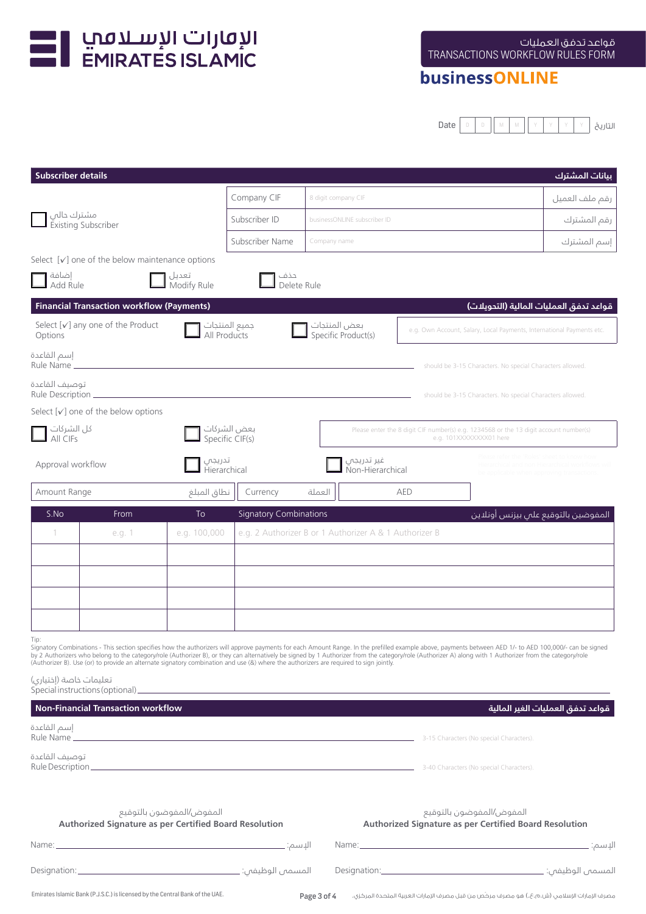

## businessONLINE

Date D D M M Y Y Y Y التاريخ

| <b>Subscriber details</b>         |                                                                              |                          |                                |                                                                                                                                        |                                                                                                                                                                                                                                                                                                                                                                                                                       | بيانات المشترك                    |
|-----------------------------------|------------------------------------------------------------------------------|--------------------------|--------------------------------|----------------------------------------------------------------------------------------------------------------------------------------|-----------------------------------------------------------------------------------------------------------------------------------------------------------------------------------------------------------------------------------------------------------------------------------------------------------------------------------------------------------------------------------------------------------------------|-----------------------------------|
|                                   |                                                                              |                          | Company CIF                    | 8 digit company CIF                                                                                                                    |                                                                                                                                                                                                                                                                                                                                                                                                                       | رقم ملف العميل                    |
| مشترك حالي<br>Existing Subscriber |                                                                              |                          | Subscriber ID                  | businessONLINE subscriber ID                                                                                                           |                                                                                                                                                                                                                                                                                                                                                                                                                       | رقم المشترك                       |
|                                   |                                                                              |                          | Subscriber Name                | Company name                                                                                                                           |                                                                                                                                                                                                                                                                                                                                                                                                                       | إسم المشترك                       |
|                                   | Select $[\checkmark]$ one of the below maintenance options                   |                          |                                |                                                                                                                                        |                                                                                                                                                                                                                                                                                                                                                                                                                       |                                   |
| إضافة<br>Add Rule                 |                                                                              | تعديل<br>Modify Rule     | حذف<br>Delete Rule             |                                                                                                                                        |                                                                                                                                                                                                                                                                                                                                                                                                                       |                                   |
|                                   | <b>Financial Transaction workflow (Payments)</b>                             |                          |                                |                                                                                                                                        | قواعد تدفق العمليات المالية (التدويلات)                                                                                                                                                                                                                                                                                                                                                                               |                                   |
| Options                           | Select $[v]$ any one of the Product                                          |                          | جميع المنتجات<br>All Products  | بعض المنتجات<br>Specific Product(s)                                                                                                    | e.g. Own Account, Salary, Local Payments, International Payments etc.                                                                                                                                                                                                                                                                                                                                                 |                                   |
| إسم القاعدة<br>Rule Name          |                                                                              |                          |                                |                                                                                                                                        | should be 3-15 Characters. No special Characters allowed.                                                                                                                                                                                                                                                                                                                                                             |                                   |
| توصيف القاعدة                     |                                                                              |                          |                                |                                                                                                                                        | should be 3-15 Characters. No special Characters allowed.                                                                                                                                                                                                                                                                                                                                                             |                                   |
|                                   | Select $[v]$ one of the below options                                        |                          |                                |                                                                                                                                        |                                                                                                                                                                                                                                                                                                                                                                                                                       |                                   |
| كل الشركات<br>All CIFs            |                                                                              |                          | بعض الشركات<br>Specific CIF(s) |                                                                                                                                        | Please enter the 8 digit CIF number(s) e.g. 1234568 or the 13 digit account number(s)<br>e.g. 101XXXXXXXX01 here                                                                                                                                                                                                                                                                                                      |                                   |
| Approval workflow                 |                                                                              | تدريجي<br>Hierarchical   |                                | غير تدريجي<br>Non-Hierarchical                                                                                                         |                                                                                                                                                                                                                                                                                                                                                                                                                       |                                   |
| Amount Range                      |                                                                              | نطاق المبلغ              | Currency                       | العملة                                                                                                                                 | AED                                                                                                                                                                                                                                                                                                                                                                                                                   |                                   |
| S.No                              | From                                                                         | <b>To</b>                | <b>Signatory Combinations</b>  |                                                                                                                                        | المفوضين بالتوقيع على بيزنس أونلاين                                                                                                                                                                                                                                                                                                                                                                                   |                                   |
|                                   | e.g. 1                                                                       | e.g. 100,000             |                                | e.g. 2 Authorizer B or 1 Authorizer A & 1 Authorizer B                                                                                 |                                                                                                                                                                                                                                                                                                                                                                                                                       |                                   |
|                                   |                                                                              |                          |                                |                                                                                                                                        |                                                                                                                                                                                                                                                                                                                                                                                                                       |                                   |
|                                   |                                                                              |                          |                                |                                                                                                                                        |                                                                                                                                                                                                                                                                                                                                                                                                                       |                                   |
|                                   |                                                                              |                          |                                |                                                                                                                                        |                                                                                                                                                                                                                                                                                                                                                                                                                       |                                   |
|                                   |                                                                              |                          |                                |                                                                                                                                        |                                                                                                                                                                                                                                                                                                                                                                                                                       |                                   |
| Tip:                              |                                                                              |                          |                                |                                                                                                                                        | Signatory Combinations - This section specifies how the authorizers will approve payments for each Amount Range. In the prefilled example above, payments between AED 1/- to AED 100,000/- can be signed<br>by 2 Authorizers who belong to the category/role (Authorizer B), or they can alternatively be signed by 1 Authorizer from the category/role (Authorizer A) along with 1 Authorizer from the category/role |                                   |
| تعليمات خاصة (إختياري)            |                                                                              |                          |                                | (Authorizer B). Use (or) to provide an alternate signatory combination and use (&) where the authorizers are required to sign jointly. |                                                                                                                                                                                                                                                                                                                                                                                                                       |                                   |
|                                   | <b>Non-Financial Transaction workflow</b>                                    |                          |                                |                                                                                                                                        |                                                                                                                                                                                                                                                                                                                                                                                                                       | قواعد تدفق العمليات الغير المالية |
| إسم القاعدة                       |                                                                              |                          |                                |                                                                                                                                        |                                                                                                                                                                                                                                                                                                                                                                                                                       |                                   |
|                                   |                                                                              |                          |                                |                                                                                                                                        | <b>Rule Name</b> 2008 (No special Characters). <b>All 2008 (No Special Characters)</b> 3-15 Characters (No special Characters).                                                                                                                                                                                                                                                                                       |                                   |
| توصيف القاعدة                     |                                                                              |                          |                                |                                                                                                                                        | <b>Rule Description</b> 2008 (haracters). The second state of the second state of the second state of the second characters (No special Characters).                                                                                                                                                                                                                                                                  |                                   |
|                                   |                                                                              |                          |                                |                                                                                                                                        |                                                                                                                                                                                                                                                                                                                                                                                                                       |                                   |
|                                   |                                                                              | المفوض/المفوضون بالتوقيع |                                |                                                                                                                                        | المفوض/المفوضون بالتوقيع                                                                                                                                                                                                                                                                                                                                                                                              |                                   |
|                                   | <b>Authorized Signature as per Certified Board Resolution</b>                |                          |                                |                                                                                                                                        | <b>Authorized Signature as per Certified Board Resolution</b>                                                                                                                                                                                                                                                                                                                                                         |                                   |
|                                   |                                                                              |                          |                                |                                                                                                                                        |                                                                                                                                                                                                                                                                                                                                                                                                                       |                                   |
|                                   |                                                                              |                          |                                |                                                                                                                                        |                                                                                                                                                                                                                                                                                                                                                                                                                       |                                   |
|                                   | Emirates Islamic Bank (P.J.S.C.) is licensed by the Central Bank of the UAE. |                          |                                | Page 3 of 4                                                                                                                            | مصرف الإمارات الإسلامي (ش.م.ع.) هو مصرف مركَّص من قبل مصرف الإمارات العربية المتحدة المركزي.                                                                                                                                                                                                                                                                                                                          |                                   |